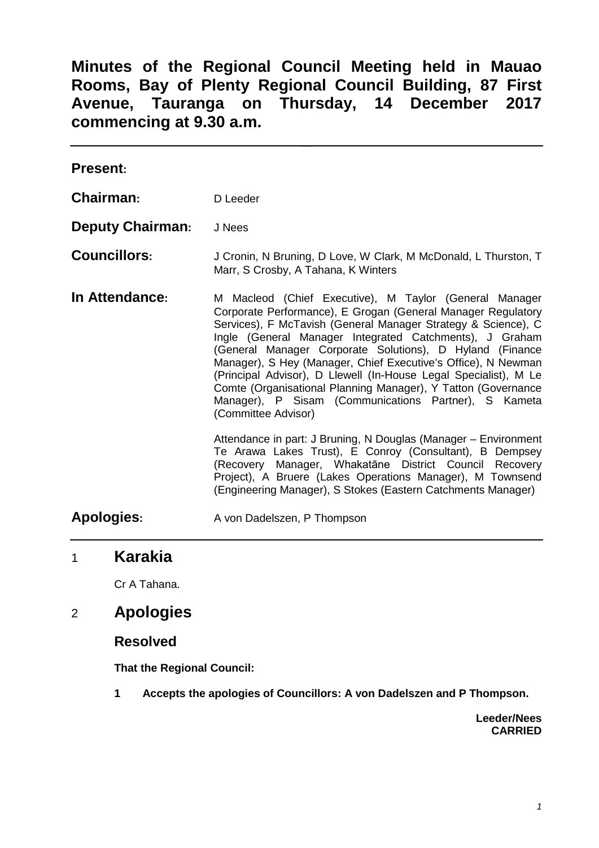**Minutes of the Regional Council Meeting held in Mauao Rooms, Bay of Plenty Regional Council Building, 87 First Avenue, Tauranga on Thursday, 14 December 2017 commencing at 9.30 a.m.**

| <b>Present:</b>         |                                                                                                                                                                                                                                                                                                                                                                                                                                                                                                                                                                                                                                                                                                                                                                                                                                                          |
|-------------------------|----------------------------------------------------------------------------------------------------------------------------------------------------------------------------------------------------------------------------------------------------------------------------------------------------------------------------------------------------------------------------------------------------------------------------------------------------------------------------------------------------------------------------------------------------------------------------------------------------------------------------------------------------------------------------------------------------------------------------------------------------------------------------------------------------------------------------------------------------------|
| <b>Chairman:</b>        | D Leeder                                                                                                                                                                                                                                                                                                                                                                                                                                                                                                                                                                                                                                                                                                                                                                                                                                                 |
| <b>Deputy Chairman:</b> | J Nees                                                                                                                                                                                                                                                                                                                                                                                                                                                                                                                                                                                                                                                                                                                                                                                                                                                   |
| <b>Councillors:</b>     | J Cronin, N Bruning, D Love, W Clark, M McDonald, L Thurston, T<br>Marr, S Crosby, A Tahana, K Winters                                                                                                                                                                                                                                                                                                                                                                                                                                                                                                                                                                                                                                                                                                                                                   |
| In Attendance:          | M Macleod (Chief Executive), M Taylor (General Manager<br>Corporate Performance), E Grogan (General Manager Regulatory<br>Services), F McTavish (General Manager Strategy & Science), C<br>Ingle (General Manager Integrated Catchments), J Graham<br>(General Manager Corporate Solutions), D Hyland (Finance<br>Manager), S Hey (Manager, Chief Executive's Office), N Newman<br>(Principal Advisor), D Llewell (In-House Legal Specialist), M Le<br>Comte (Organisational Planning Manager), Y Tatton (Governance<br>Manager), P Sisam (Communications Partner), S Kameta<br>(Committee Advisor)<br>Attendance in part: J Bruning, N Douglas (Manager - Environment<br>Te Arawa Lakes Trust), E Conroy (Consultant), B Dempsey<br>(Recovery Manager, Whakatāne District Council Recovery<br>Project), A Bruere (Lakes Operations Manager), M Townsend |
|                         | (Engineering Manager), S Stokes (Eastern Catchments Manager)                                                                                                                                                                                                                                                                                                                                                                                                                                                                                                                                                                                                                                                                                                                                                                                             |
| Apologies:              | A von Dadelszen, P Thompson                                                                                                                                                                                                                                                                                                                                                                                                                                                                                                                                                                                                                                                                                                                                                                                                                              |

# 1 **Karakia**

Cr A Tahana.

# 2 **Apologies**

#### **Resolved**

**That the Regional Council:**

**1 Accepts the apologies of Councillors: A von Dadelszen and P Thompson.**

**Leeder/Nees CARRIED**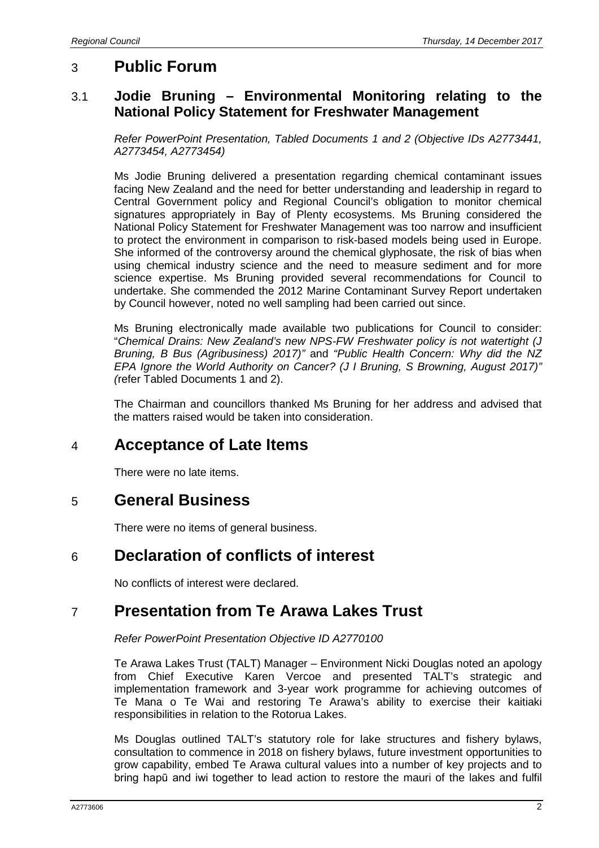## 3 **Public Forum**

### 3.1 **Jodie Bruning – Environmental Monitoring relating to the National Policy Statement for Freshwater Management**

*Refer PowerPoint Presentation, Tabled Documents 1 and 2 (Objective IDs A2773441, A2773454, A2773454)*

Ms Jodie Bruning delivered a presentation regarding chemical contaminant issues facing New Zealand and the need for better understanding and leadership in regard to Central Government policy and Regional Council's obligation to monitor chemical signatures appropriately in Bay of Plenty ecosystems. Ms Bruning considered the National Policy Statement for Freshwater Management was too narrow and insufficient to protect the environment in comparison to risk-based models being used in Europe. She informed of the controversy around the chemical glyphosate, the risk of bias when using chemical industry science and the need to measure sediment and for more science expertise. Ms Bruning provided several recommendations for Council to undertake. She commended the 2012 Marine Contaminant Survey Report undertaken by Council however, noted no well sampling had been carried out since.

Ms Bruning electronically made available two publications for Council to consider: "*Chemical Drains: New Zealand's new NPS-FW Freshwater policy is not watertight (J Bruning, B Bus (Agribusiness) 2017)"* and *"Public Health Concern: Why did the NZ EPA Ignore the World Authority on Cancer? (J I Bruning, S Browning, August 2017)" (*refer Tabled Documents 1 and 2).

The Chairman and councillors thanked Ms Bruning for her address and advised that the matters raised would be taken into consideration.

# 4 **Acceptance of Late Items**

There were no late items.

## 5 **General Business**

There were no items of general business.

## 6 **Declaration of conflicts of interest**

No conflicts of interest were declared.

# 7 **Presentation from Te Arawa Lakes Trust**

#### *Refer PowerPoint Presentation Objective ID A2770100*

Te Arawa Lakes Trust (TALT) Manager – Environment Nicki Douglas noted an apology from Chief Executive Karen Vercoe and presented TALT's strategic and implementation framework and 3-year work programme for achieving outcomes of Te Mana o Te Wai and restoring Te Arawa's ability to exercise their kaitiaki responsibilities in relation to the Rotorua Lakes.

Ms Douglas outlined TALT's statutory role for lake structures and fishery bylaws, consultation to commence in 2018 on fishery bylaws, future investment opportunities to grow capability, embed Te Arawa cultural values into a number of key projects and to bring hapū and iwi together to lead action to restore the mauri of the lakes and fulfil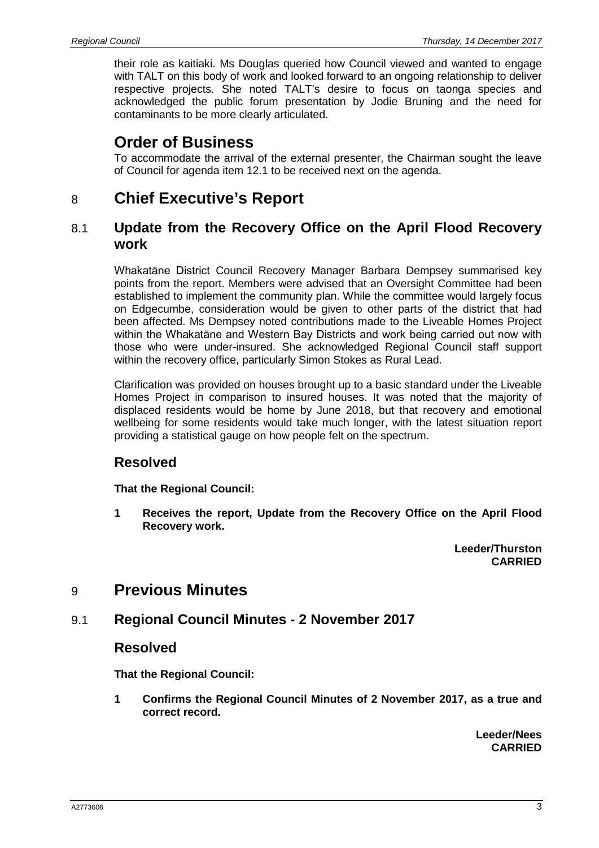their role as kaitiaki. Ms Douglas queried how Council viewed and wanted to engage with TALT on this body of work and looked forward to an ongoing relationship to deliver respective projects. She noted TALT's desire to focus on taonga species and acknowledged the public forum presentation by Jodie Bruning and the need for contaminants to be more clearly articulated.

# **Order of Business**

To accommodate the arrival of the external presenter, the Chairman sought the leave of Council for agenda item 12.1 to be received next on the agenda.

# 8 **Chief Executive's Report**

### 8.1 **Update from the Recovery Office on the April Flood Recovery work**

Whakatāne District Council Recovery Manager Barbara Dempsey summarised key points from the report. Members were advised that an Oversight Committee had been established to implement the community plan. While the committee would largely focus on Edgecumbe, consideration would be given to other parts of the district that had been affected. Ms Dempsey noted contributions made to the Liveable Homes Project within the Whakatāne and Western Bay Districts and work being carried out now with those who were under-insured. She acknowledged Regional Council staff support within the recovery office, particularly Simon Stokes as Rural Lead.

Clarification was provided on houses brought up to a basic standard under the Liveable Homes Project in comparison to insured houses. It was noted that the majority of displaced residents would be home by June 2018, but that recovery and emotional wellbeing for some residents would take much longer, with the latest situation report providing a statistical gauge on how people felt on the spectrum.

## **Resolved**

**That the Regional Council:**

**1 Receives the report, Update from the Recovery Office on the April Flood Recovery work.**

> **Leeder/Thurston CARRIED**

# 9 **Previous Minutes**

## 9.1 **Regional Council Minutes - 2 November 2017**

### **Resolved**

**That the Regional Council:**

**1 Confirms the Regional Council Minutes of 2 November 2017, as a true and correct record.**

> **Leeder/Nees CARRIED**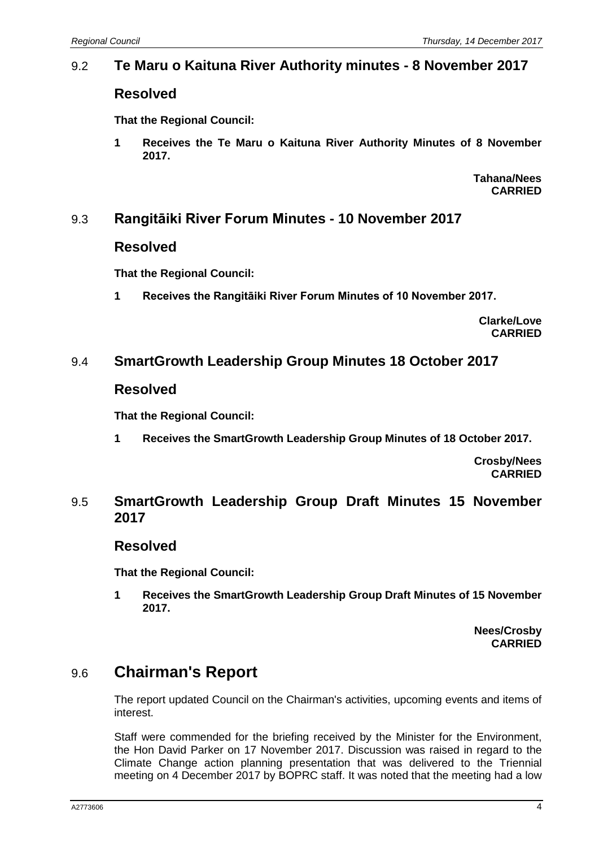### 9.2 **Te Maru o Kaituna River Authority minutes - 8 November 2017**

### **Resolved**

**That the Regional Council:**

**1 Receives the Te Maru o Kaituna River Authority Minutes of 8 November 2017.**

> **Tahana/Nees CARRIED**

### 9.3 **Rangitāiki River Forum Minutes - 10 November 2017**

#### **Resolved**

**That the Regional Council:**

**1 Receives the Rangitāiki River Forum Minutes of 10 November 2017.**

**Clarke/Love CARRIED**

## 9.4 **SmartGrowth Leadership Group Minutes 18 October 2017**

#### **Resolved**

**That the Regional Council:**

**1 Receives the SmartGrowth Leadership Group Minutes of 18 October 2017.**

**Crosby/Nees CARRIED**

#### 9.5 **SmartGrowth Leadership Group Draft Minutes 15 November 2017**

#### **Resolved**

**That the Regional Council:**

**1 Receives the SmartGrowth Leadership Group Draft Minutes of 15 November 2017.**

> **Nees/Crosby CARRIED**

# 9.6 **Chairman's Report**

The report updated Council on the Chairman's activities, upcoming events and items of interest.

Staff were commended for the briefing received by the Minister for the Environment, the Hon David Parker on 17 November 2017. Discussion was raised in regard to the Climate Change action planning presentation that was delivered to the Triennial meeting on 4 December 2017 by BOPRC staff. It was noted that the meeting had a low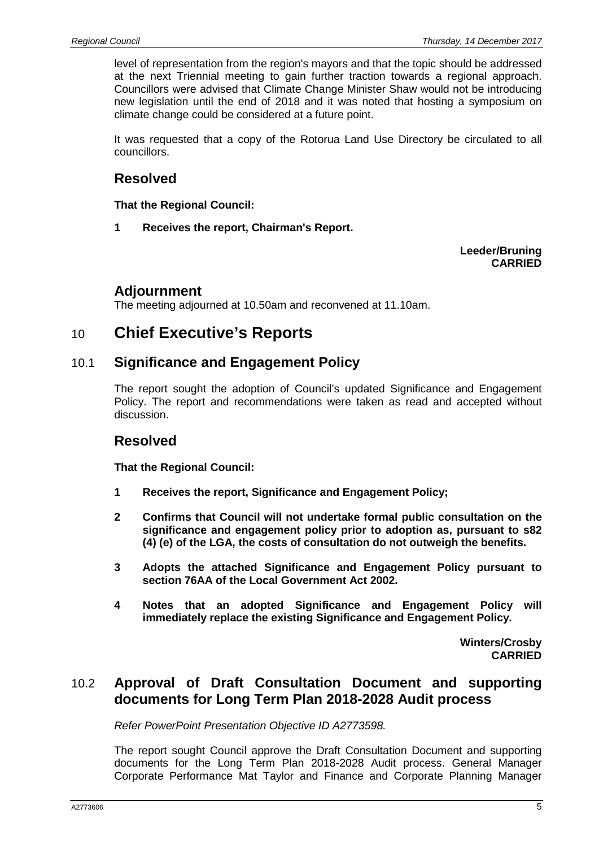level of representation from the region's mayors and that the topic should be addressed at the next Triennial meeting to gain further traction towards a regional approach. Councillors were advised that Climate Change Minister Shaw would not be introducing new legislation until the end of 2018 and it was noted that hosting a symposium on climate change could be considered at a future point.

It was requested that a copy of the Rotorua Land Use Directory be circulated to all councillors.

### **Resolved**

**That the Regional Council:**

**1 Receives the report, Chairman's Report.**

**Leeder/Bruning CARRIED**

### **Adjournment**

The meeting adjourned at 10.50am and reconvened at 11.10am.

## 10 **Chief Executive's Reports**

#### 10.1 **Significance and Engagement Policy**

The report sought the adoption of Council's updated Significance and Engagement Policy. The report and recommendations were taken as read and accepted without discussion.

### **Resolved**

**That the Regional Council:**

- **1 Receives the report, Significance and Engagement Policy;**
- **2 Confirms that Council will not undertake formal public consultation on the significance and engagement policy prior to adoption as, pursuant to s82 (4) (e) of the LGA, the costs of consultation do not outweigh the benefits.**
- **3 Adopts the attached Significance and Engagement Policy pursuant to section 76AA of the Local Government Act 2002.**
- **4 Notes that an adopted Significance and Engagement Policy will immediately replace the existing Significance and Engagement Policy.**

**Winters/Crosby CARRIED**

### 10.2 **Approval of Draft Consultation Document and supporting documents for Long Term Plan 2018-2028 Audit process**

*Refer PowerPoint Presentation Objective ID A2773598.*

The report sought Council approve the Draft Consultation Document and supporting documents for the Long Term Plan 2018-2028 Audit process. General Manager Corporate Performance Mat Taylor and Finance and Corporate Planning Manager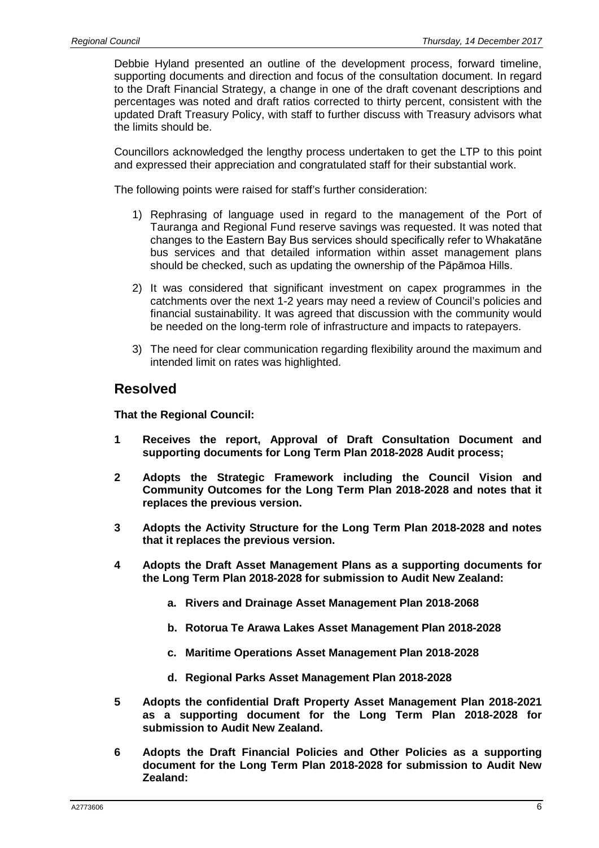Debbie Hyland presented an outline of the development process, forward timeline, supporting documents and direction and focus of the consultation document. In regard to the Draft Financial Strategy, a change in one of the draft covenant descriptions and percentages was noted and draft ratios corrected to thirty percent, consistent with the updated Draft Treasury Policy, with staff to further discuss with Treasury advisors what the limits should be.

Councillors acknowledged the lengthy process undertaken to get the LTP to this point and expressed their appreciation and congratulated staff for their substantial work.

The following points were raised for staff's further consideration:

- 1) Rephrasing of language used in regard to the management of the Port of Tauranga and Regional Fund reserve savings was requested. It was noted that changes to the Eastern Bay Bus services should specifically refer to Whakatāne bus services and that detailed information within asset management plans should be checked, such as updating the ownership of the Pāpāmoa Hills.
- 2) It was considered that significant investment on capex programmes in the catchments over the next 1-2 years may need a review of Council's policies and financial sustainability. It was agreed that discussion with the community would be needed on the long-term role of infrastructure and impacts to ratepayers.
- 3) The need for clear communication regarding flexibility around the maximum and intended limit on rates was highlighted.

#### **Resolved**

- **1 Receives the report, Approval of Draft Consultation Document and supporting documents for Long Term Plan 2018-2028 Audit process;**
- **2 Adopts the Strategic Framework including the Council Vision and Community Outcomes for the Long Term Plan 2018-2028 and notes that it replaces the previous version.**
- **3 Adopts the Activity Structure for the Long Term Plan 2018-2028 and notes that it replaces the previous version.**
- **4 Adopts the Draft Asset Management Plans as a supporting documents for the Long Term Plan 2018-2028 for submission to Audit New Zealand:**
	- **a. Rivers and Drainage Asset Management Plan 2018-2068**
	- **b. Rotorua Te Arawa Lakes Asset Management Plan 2018-2028**
	- **c. Maritime Operations Asset Management Plan 2018-2028**
	- **d. Regional Parks Asset Management Plan 2018-2028**
- **5 Adopts the confidential Draft Property Asset Management Plan 2018-2021 as a supporting document for the Long Term Plan 2018-2028 for submission to Audit New Zealand.**
- **6 Adopts the Draft Financial Policies and Other Policies as a supporting document for the Long Term Plan 2018-2028 for submission to Audit New Zealand:**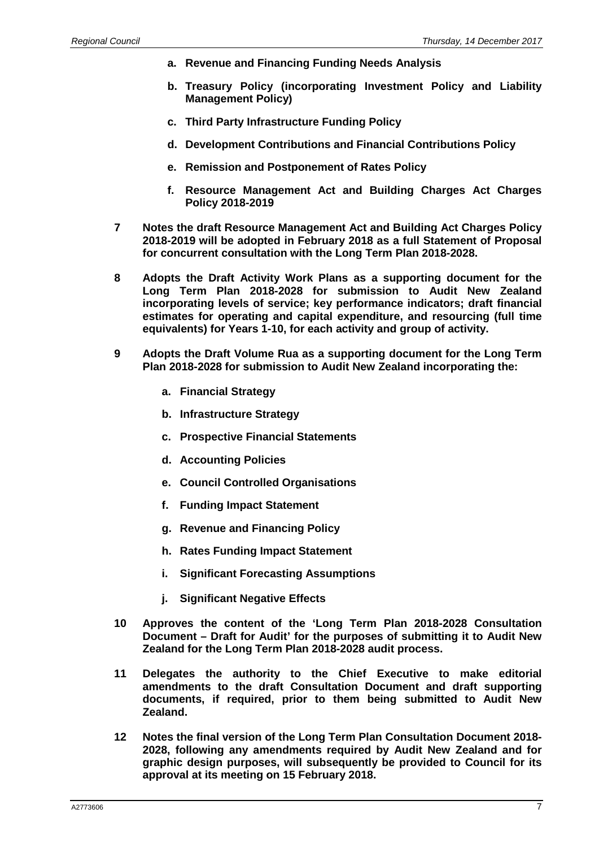- **a. Revenue and Financing Funding Needs Analysis**
- **b. Treasury Policy (incorporating Investment Policy and Liability Management Policy)**
- **c. Third Party Infrastructure Funding Policy**
- **d. Development Contributions and Financial Contributions Policy**
- **e. Remission and Postponement of Rates Policy**
- **f. Resource Management Act and Building Charges Act Charges Policy 2018-2019**
- **7 Notes the draft Resource Management Act and Building Act Charges Policy 2018-2019 will be adopted in February 2018 as a full Statement of Proposal for concurrent consultation with the Long Term Plan 2018-2028.**
- **8 Adopts the Draft Activity Work Plans as a supporting document for the Long Term Plan 2018-2028 for submission to Audit New Zealand incorporating levels of service; key performance indicators; draft financial estimates for operating and capital expenditure, and resourcing (full time equivalents) for Years 1-10, for each activity and group of activity.**
- **9 Adopts the Draft Volume Rua as a supporting document for the Long Term Plan 2018-2028 for submission to Audit New Zealand incorporating the:**
	- **a. Financial Strategy**
	- **b. Infrastructure Strategy**
	- **c. Prospective Financial Statements**
	- **d. Accounting Policies**
	- **e. Council Controlled Organisations**
	- **f. Funding Impact Statement**
	- **g. Revenue and Financing Policy**
	- **h. Rates Funding Impact Statement**
	- **i. Significant Forecasting Assumptions**
	- **j. Significant Negative Effects**
- **10 Approves the content of the 'Long Term Plan 2018-2028 Consultation Document – Draft for Audit' for the purposes of submitting it to Audit New Zealand for the Long Term Plan 2018-2028 audit process.**
- **11 Delegates the authority to the Chief Executive to make editorial amendments to the draft Consultation Document and draft supporting documents, if required, prior to them being submitted to Audit New Zealand.**
- **12 Notes the final version of the Long Term Plan Consultation Document 2018- 2028, following any amendments required by Audit New Zealand and for graphic design purposes, will subsequently be provided to Council for its approval at its meeting on 15 February 2018.**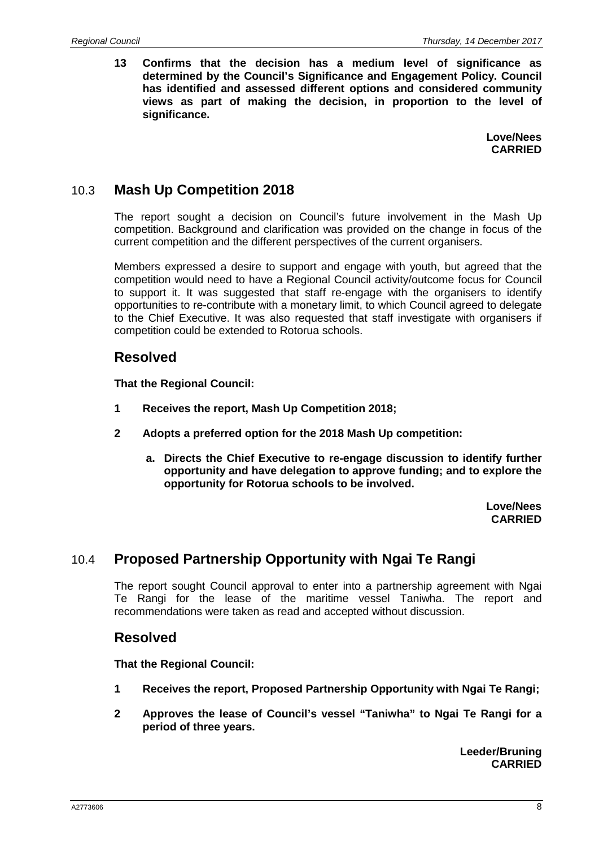**13 Confirms that the decision has a medium level of significance as determined by the Council's Significance and Engagement Policy. Council has identified and assessed different options and considered community views as part of making the decision, in proportion to the level of significance.**

> **Love/Nees CARRIED**

### 10.3 **Mash Up Competition 2018**

The report sought a decision on Council's future involvement in the Mash Up competition. Background and clarification was provided on the change in focus of the current competition and the different perspectives of the current organisers.

Members expressed a desire to support and engage with youth, but agreed that the competition would need to have a Regional Council activity/outcome focus for Council to support it. It was suggested that staff re-engage with the organisers to identify opportunities to re-contribute with a monetary limit, to which Council agreed to delegate to the Chief Executive. It was also requested that staff investigate with organisers if competition could be extended to Rotorua schools.

#### **Resolved**

**That the Regional Council:**

- **1 Receives the report, Mash Up Competition 2018;**
- **2 Adopts a preferred option for the 2018 Mash Up competition:**
	- **a. Directs the Chief Executive to re-engage discussion to identify further opportunity and have delegation to approve funding; and to explore the opportunity for Rotorua schools to be involved.**

**Love/Nees CARRIED**

## 10.4 **Proposed Partnership Opportunity with Ngai Te Rangi**

The report sought Council approval to enter into a partnership agreement with Ngai Te Rangi for the lease of the maritime vessel Taniwha. The report and recommendations were taken as read and accepted without discussion.

#### **Resolved**

**That the Regional Council:**

- **1 Receives the report, Proposed Partnership Opportunity with Ngai Te Rangi;**
- **2 Approves the lease of Council's vessel "Taniwha" to Ngai Te Rangi for a period of three years.**

**Leeder/Bruning CARRIED**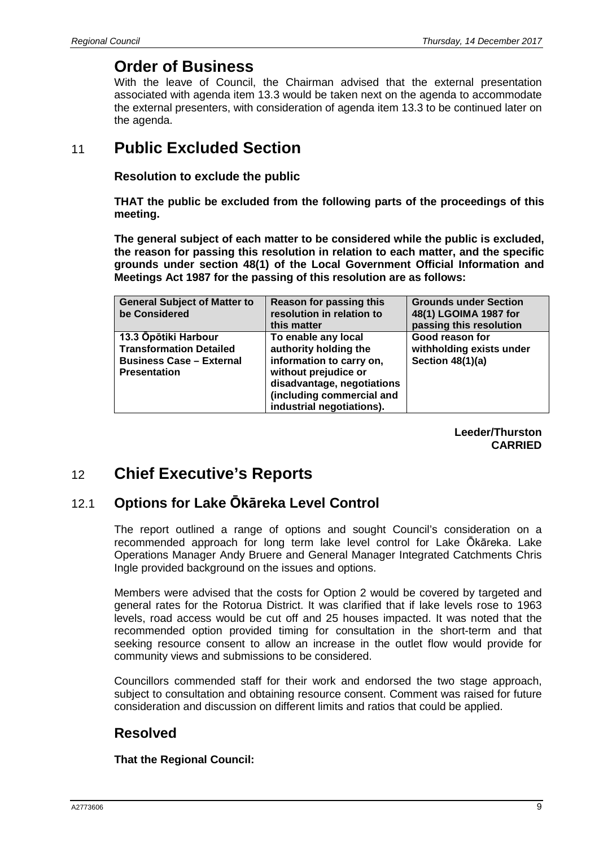## **Order of Business**

With the leave of Council, the Chairman advised that the external presentation associated with agenda item 13.3 would be taken next on the agenda to accommodate the external presenters, with consideration of agenda item 13.3 to be continued later on the agenda.

# 11 **Public Excluded Section**

**Resolution to exclude the public**

**THAT the public be excluded from the following parts of the proceedings of this meeting.**

**The general subject of each matter to be considered while the public is excluded, the reason for passing this resolution in relation to each matter, and the specific grounds under section 48(1) of the Local Government Official Information and Meetings Act 1987 for the passing of this resolution are as follows:**

| <b>General Subject of Matter to</b><br>be Considered                                                             | Reason for passing this<br>resolution in relation to<br>this matter                                                                                                                      | <b>Grounds under Section</b><br>48(1) LGOIMA 1987 for<br>passing this resolution |
|------------------------------------------------------------------------------------------------------------------|------------------------------------------------------------------------------------------------------------------------------------------------------------------------------------------|----------------------------------------------------------------------------------|
| 13.3 Opōtiki Harbour<br><b>Transformation Detailed</b><br><b>Business Case - External</b><br><b>Presentation</b> | To enable any local<br>authority holding the<br>information to carry on,<br>without prejudice or<br>disadvantage, negotiations<br>(including commercial and<br>industrial negotiations). | Good reason for<br>withholding exists under<br>Section 48(1)(a)                  |

**Leeder/Thurston CARRIED**

# 12 **Chief Executive's Reports**

## 12.1 **Options for Lake Ōkāreka Level Control**

The report outlined a range of options and sought Council's consideration on a recommended approach for long term lake level control for Lake Ōkāreka. Lake Operations Manager Andy Bruere and General Manager Integrated Catchments Chris Ingle provided background on the issues and options.

Members were advised that the costs for Option 2 would be covered by targeted and general rates for the Rotorua District. It was clarified that if lake levels rose to 1963 levels, road access would be cut off and 25 houses impacted. It was noted that the recommended option provided timing for consultation in the short-term and that seeking resource consent to allow an increase in the outlet flow would provide for community views and submissions to be considered.

Councillors commended staff for their work and endorsed the two stage approach, subject to consultation and obtaining resource consent. Comment was raised for future consideration and discussion on different limits and ratios that could be applied.

## **Resolved**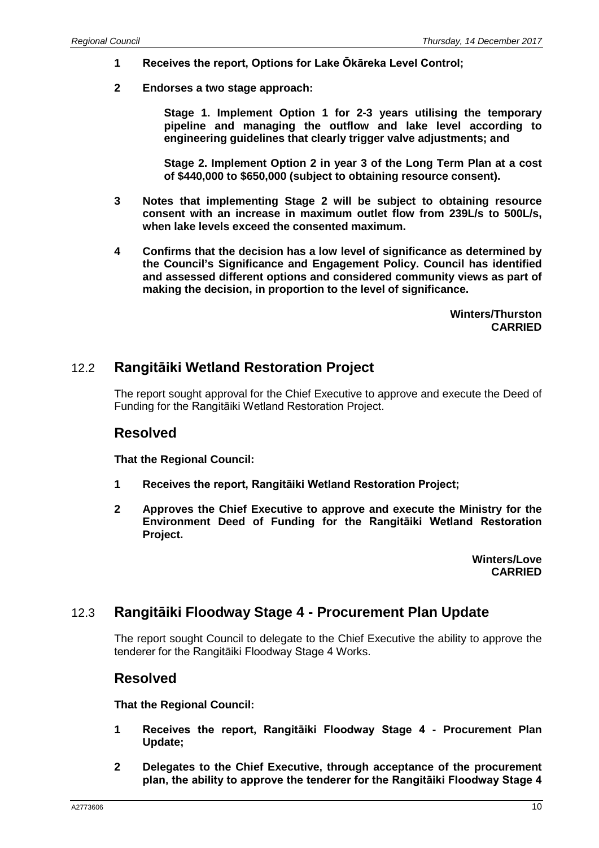- **1 Receives the report, Options for Lake Ōkāreka Level Control;**
- **2 Endorses a two stage approach:**

**Stage 1. Implement Option 1 for 2-3 years utilising the temporary pipeline and managing the outflow and lake level according to engineering guidelines that clearly trigger valve adjustments; and**

**Stage 2. Implement Option 2 in year 3 of the Long Term Plan at a cost of \$440,000 to \$650,000 (subject to obtaining resource consent).**

- **3 Notes that implementing Stage 2 will be subject to obtaining resource consent with an increase in maximum outlet flow from 239L/s to 500L/s, when lake levels exceed the consented maximum.**
- **4 Confirms that the decision has a low level of significance as determined by the Council's Significance and Engagement Policy. Council has identified and assessed different options and considered community views as part of making the decision, in proportion to the level of significance.**

**Winters/Thurston CARRIED**

#### 12.2 **Rangitāiki Wetland Restoration Project**

The report sought approval for the Chief Executive to approve and execute the Deed of Funding for the Rangitāiki Wetland Restoration Project.

#### **Resolved**

**That the Regional Council:**

- **1 Receives the report, Rangitāiki Wetland Restoration Project;**
- **2 Approves the Chief Executive to approve and execute the Ministry for the Environment Deed of Funding for the Rangitāiki Wetland Restoration Project.**

**Winters/Love CARRIED**

### 12.3 **Rangitāiki Floodway Stage 4 - Procurement Plan Update**

The report sought Council to delegate to the Chief Executive the ability to approve the tenderer for the Rangitāiki Floodway Stage 4 Works.

#### **Resolved**

- **1 Receives the report, Rangitāiki Floodway Stage 4 - Procurement Plan Update;**
- **2 Delegates to the Chief Executive, through acceptance of the procurement plan, the ability to approve the tenderer for the Rangitāiki Floodway Stage 4**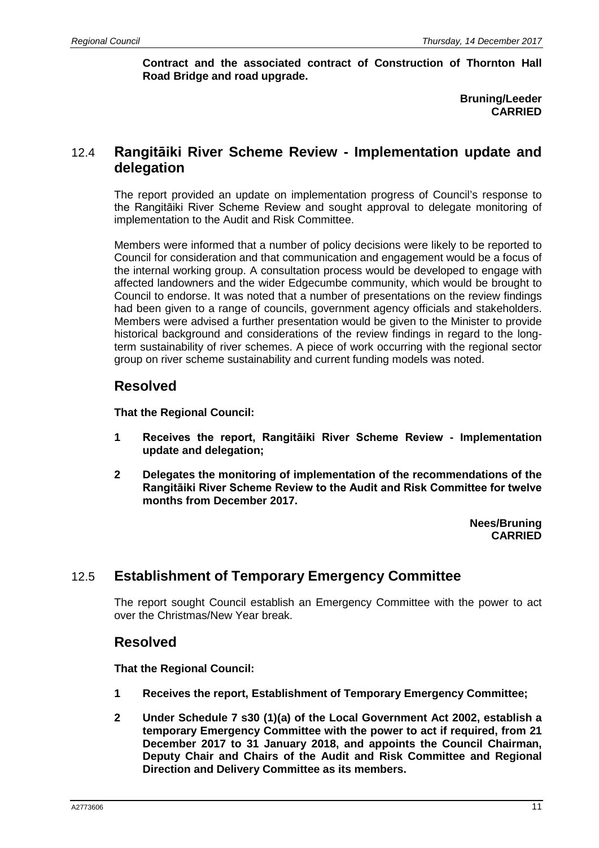**Contract and the associated contract of Construction of Thornton Hall Road Bridge and road upgrade.**

> **Bruning/Leeder CARRIED**

### 12.4 **Rangitāiki River Scheme Review - Implementation update and delegation**

The report provided an update on implementation progress of Council's response to the Rangitāiki River Scheme Review and sought approval to delegate monitoring of implementation to the Audit and Risk Committee.

Members were informed that a number of policy decisions were likely to be reported to Council for consideration and that communication and engagement would be a focus of the internal working group. A consultation process would be developed to engage with affected landowners and the wider Edgecumbe community, which would be brought to Council to endorse. It was noted that a number of presentations on the review findings had been given to a range of councils, government agency officials and stakeholders. Members were advised a further presentation would be given to the Minister to provide historical background and considerations of the review findings in regard to the longterm sustainability of river schemes. A piece of work occurring with the regional sector group on river scheme sustainability and current funding models was noted.

#### **Resolved**

**That the Regional Council:**

- **1 Receives the report, Rangitāiki River Scheme Review - Implementation update and delegation;**
- **2 Delegates the monitoring of implementation of the recommendations of the Rangitāiki River Scheme Review to the Audit and Risk Committee for twelve months from December 2017.**

**Nees/Bruning CARRIED**

## 12.5 **Establishment of Temporary Emergency Committee**

The report sought Council establish an Emergency Committee with the power to act over the Christmas/New Year break.

#### **Resolved**

- **1 Receives the report, Establishment of Temporary Emergency Committee;**
- **2 Under Schedule 7 s30 (1)(a) of the Local Government Act 2002, establish a temporary Emergency Committee with the power to act if required, from 21 December 2017 to 31 January 2018, and appoints the Council Chairman, Deputy Chair and Chairs of the Audit and Risk Committee and Regional Direction and Delivery Committee as its members.**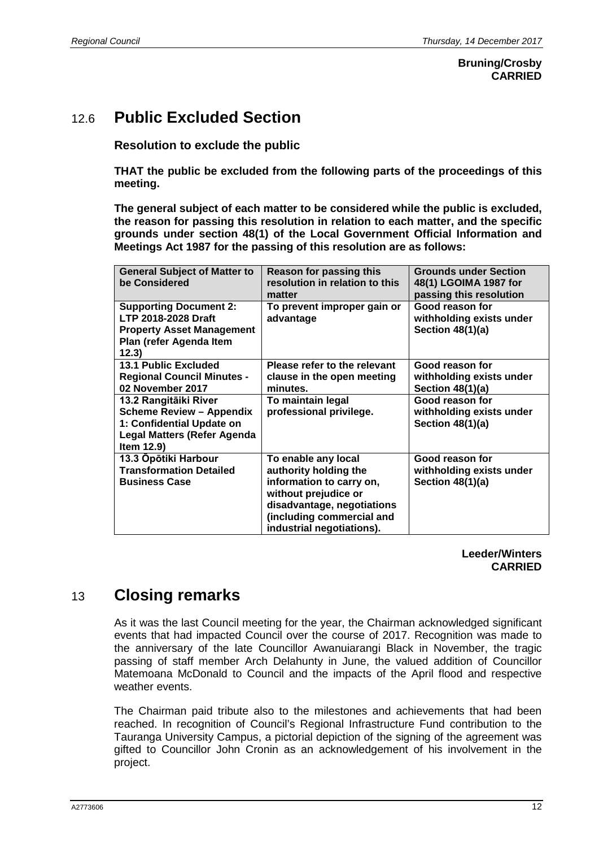#### **Bruning/Crosby CARRIED**

# 12.6 **Public Excluded Section**

**Resolution to exclude the public**

**THAT the public be excluded from the following parts of the proceedings of this meeting.**

**The general subject of each matter to be considered while the public is excluded, the reason for passing this resolution in relation to each matter, and the specific grounds under section 48(1) of the Local Government Official Information and Meetings Act 1987 for the passing of this resolution are as follows:**

| <b>General Subject of Matter to</b><br>be Considered                                                                                      | Reason for passing this<br>resolution in relation to this<br>matter                                                                                                                      | <b>Grounds under Section</b><br>48(1) LGOIMA 1987 for<br>passing this resolution |
|-------------------------------------------------------------------------------------------------------------------------------------------|------------------------------------------------------------------------------------------------------------------------------------------------------------------------------------------|----------------------------------------------------------------------------------|
| <b>Supporting Document 2:</b><br><b>LTP 2018-2028 Draft</b><br><b>Property Asset Management</b><br>Plan (refer Agenda Item<br>12.3)       | To prevent improper gain or<br>advantage                                                                                                                                                 | Good reason for<br>withholding exists under<br>Section 48(1)(a)                  |
| <b>13.1 Public Excluded</b><br><b>Regional Council Minutes -</b><br>02 November 2017                                                      | Please refer to the relevant<br>clause in the open meeting<br>minutes.                                                                                                                   | Good reason for<br>withholding exists under<br>Section $48(1)(a)$                |
| 13.2 Rangitāiki River<br><b>Scheme Review - Appendix</b><br>1: Confidential Update on<br><b>Legal Matters (Refer Agenda</b><br>Item 12.9) | To maintain legal<br>professional privilege.                                                                                                                                             | Good reason for<br>withholding exists under<br>Section 48(1)(a)                  |
| 13.3 Opōtiki Harbour<br><b>Transformation Detailed</b><br><b>Business Case</b>                                                            | To enable any local<br>authority holding the<br>information to carry on,<br>without prejudice or<br>disadvantage, negotiations<br>(including commercial and<br>industrial negotiations). | Good reason for<br>withholding exists under<br>Section 48(1)(a)                  |

#### **Leeder/Winters CARRIED**

# 13 **Closing remarks**

As it was the last Council meeting for the year, the Chairman acknowledged significant events that had impacted Council over the course of 2017. Recognition was made to the anniversary of the late Councillor Awanuiarangi Black in November, the tragic passing of staff member Arch Delahunty in June, the valued addition of Councillor Matemoana McDonald to Council and the impacts of the April flood and respective weather events.

The Chairman paid tribute also to the milestones and achievements that had been reached. In recognition of Council's Regional Infrastructure Fund contribution to the Tauranga University Campus, a pictorial depiction of the signing of the agreement was gifted to Councillor John Cronin as an acknowledgement of his involvement in the project.